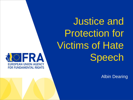Justice and Protection for Victims of Hate Speech

Albin Dearing

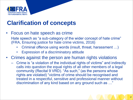

# **Clarification of concepts**

• Focus on hate speech as crime

Hate speech as "a sub-category of the wider concept of hate crime" (FRA, Ensuring justice for hate crime victims, 2016)

- Criminal offence using words (insult, threat, harassment …)
- Expression of a discriminatory attitude
- Crimes against the person are human rights violations
	- Crime is "a violation of the individual rights of victims" and indirectly calls into question the equal rights of all other members of a legal community (Recital 9 VRD). "As such," (as the persons whose rights are violated) "victims of crime should be recognised and treated in a respectful, sensitive and professional manner without discrimination of any kind based on any ground such as …"

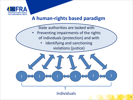

## **A human-rights based paradigm**

- State authorities are tasked with
- Preventing impairments of the rights of individuals (protection) and with
	- Identifying and sanctioning violations (justice)

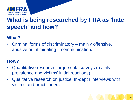

# **What is being researched by FRA as 'hate speech' and how?**

### **What?**

• Criminal forms of discriminatory – mainly offensive, abusive or intimidating – communication.

### **How?**

- Quantitative research: large-scale surveys (mainly prevalence and victims' initial reactions)
- Qualitative research on justice: In-depth interviews with victims and practitioners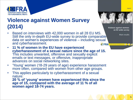

# **Violence against Women Survey (2014)**

- Based on interviews with 42,000 women in all 28 EU MS. Still the only in-depth EU-wide survey to provide comparable data on women's experiences of violence – including sexual and cyberharassment. **M**FRA
- **11 % of women in the EU have experienced cyberharassment of a sexual nature since the age of 15.** This includes unwanted, offensive and sexually explicit emails or text messages, or offensive, inappropriate advances on social networking sites.
- 'Young' women (18-29 years of age) experience harassment more often, compared with women from other age groups.
- This applies particularly to cyberharassment of a sexual nature:

**20 % of 'young' women have experienced this since the age of 15, compared with the average of 11 % of all women aged 18-74 years.** 



Violence against women: an EU-wide survey

Main results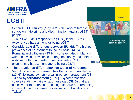

# **LGBTI**

- Second LGBTI survey (May 2020); the world's largest survey on hate crime and discrimination against LGBTI people
- Two in five LGBTI respondents (38 %) in the EU -28 experienced harassment for being LGBTI.
- **Considerable differences between EU -MS**: The highest prevalence of harassment found in Latvia (44 %), Romania and Lithuania (43 %). However, also in Malta – with the lowest prevalence among the surveyed countries<br>
– still more than a quarter of respondents (27 %) experienced harassment due to being LGBTI.
- **The prevalence differs between types of harassment**. Verbal in -person harassment has the highest prevalence (27 %), followed by non -verbal in -person harassment (23 %) and **cyberharassment (10 %)**. 'Cyberharassment' covers sending emails or text messages (SMS) that are offensive or threatening or posting offensive or threatening comments on the internet (for example on Facebook or Twitter).

A long way to go for LGBTI equality

**EU-LGBTI II** 

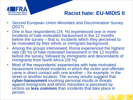

## **Racist hate: EU-MIDIS II**

7

- Second European Union Minorities and Discrimination Survey (2017)
- One in four respondents (24 %) experienced one or more incidents of hate-motivated harassment in the 12 months before the survey – that is, incidents which they perceived to be motivated by their ethnic or immigrant background.
- Among the groups interviewed, Roma experienced the highest rate (30 %) of hate-motivated harassment in the 12 months before the survey, followed by immigrants and descendants of immigrants from North Africa (29 %).
- Most of the respondents' experiences with hate-motivated harassment involved incidents in which the victim and offender came in direct contact with one another – for example, in the street or another location. The survey results suggest that **cyber-harassment** involving personal insults or threats against immigrants and ethnic minorities is perceived by victims as **less common** than incidents that take place in person.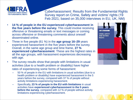

Cyberharassment: Results from the Fundamental Rights Survey report on Crime, Safety and victims' rights (19 Feb 2021; based on 35,000 interviews in EU, UK, NM)

- **14 % of people in the EU experienced cyberharassment in the five years before the survey.** This could involve receiving offensive or threatening emails or text messages or coming across offensive or threatening comments about oneself disseminated online.
- Three in five people (61 %) in the **age group 16–29** years experienced harassment in the five years before the survey. Overall, in the same age group and time frame, **27 % experienced cyberharassment**. These are the highest rates in all the age groups, with harassment experiences decreasing with age.
- The survey results show that people with limitations in usual activities (due to a health problem or disability) have higher rates of experiencing some forms of harassment:
	- 50 % of people in the EU with limitations in usual activities (due to a health problem or disability) have experienced harassment in the 5 years before the survey, compared with 37 % of people without activity limitations experiencing harassment.
	- Specifically, **23 % of people in the EU with limitations** in usual activities have **experienced cyberharassment in the 5 years before the survey**, compared with 12 % of people without activity limitations experiencing cyberharassment.



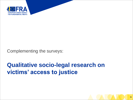

Complementing the surveys:

# **Qualitative socio-legal research on victims' access to justice**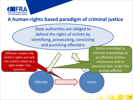

## **A human-rights based paradigm of criminal justice**

State authorities are obliged to defend the rights of victims by identifying, prosecuting, convicting and punishing offenders

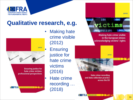

## **Qualitative research, e.g.**



- Making hate crime visible (2012)
	- **Ensuring** justice for hate crime victims (2016)
- Hate crime recording … (2018)



**HOLYA**D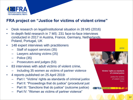

#### **FRA project on "Justice for victims of violent crime"**

- Desk research on legal/institutional situation in 28 MS (2016)
- In-depth field research in 7 MS: 231 face-to-face interviews conducted in 2017 in Austria, France, Germany, Netherlands, Poland, Portugal, UK
- 148 expert interviews with practitioners
	- Staff of support services (35)
	- Lawyers advising victims (25)
	- Police (35)
	- Prosecutors and judges (53)
- 83 interviews with adult victims of violent crime,
	- Including 35 women as victims of partner violence
- 4 reports published on 25 April 2019:
	- Part I: "Victims' rights as standards of criminal justice"
	- Part II: "Proceedings that do justice" (procedural just
	- Part III: "Sanctions that do justice" (outcome justice)
	- Part IV: "Women as victims of partner violence"

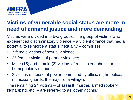

## **Victims of vulnerable social status are more in need of criminal justice and more demanding**

Victims were divided into two groups. The group of victims who experienced discriminatory violence – a violent offence that had a potential to reinforce a status inequality – comprises:

- 7 female victims of sexual violence;
- 35 female victims of partner violence;
- Male (15) and female (2) victims of racist, xenophobic or homophobic violence or
- 3 victims of abuse of power committed by officials (the police, municipal guards, the major of a village).

The remaining 24 victims – of assault, murder, armed robbery, kidnapping, etc. – are referred to as 'other victims.'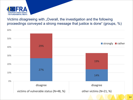

Victims *disagreeing with "Overall, the investigation and the following* proceedings conveyed a strong message that justice is done" (groups, %)

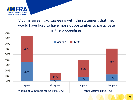

#### Victims agreeing/disagreeing with the statement that they would have liked to have more opportunities to participate in the proceedings

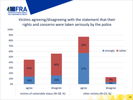

#### Victims agreeing/disagreeing with the statement that their rights and concerns were taken seriously by the police

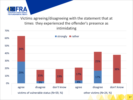

#### Victims agreeing/disagreeing with the statement that at times they experienced the offender's presence as intimidating

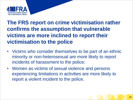

## **The FRS report on crime victimisation rather confirms the assumption that vulnerable victims are more inclined to report their victimisation to the police**

- Victims who consider themselves to be part of an ethnic minority or non-heterosexual are more likely to report incidents of harassment to the police;
- Women as victims of sexual violence and persons experiencing limitations in activities are more likely to report a violent incident to the police.

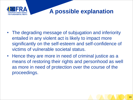

# **A possible explanation**

- The degrading message of subjugation and inferiority entailed in any violent act is likely to impact more significantly on the self-esteem and self-confidence of victims of vulnerable societal status.
- Hence they are more in need of criminal justice as a means of restoring their rights and personhood as well as more in need of protection over the course of the proceedings.